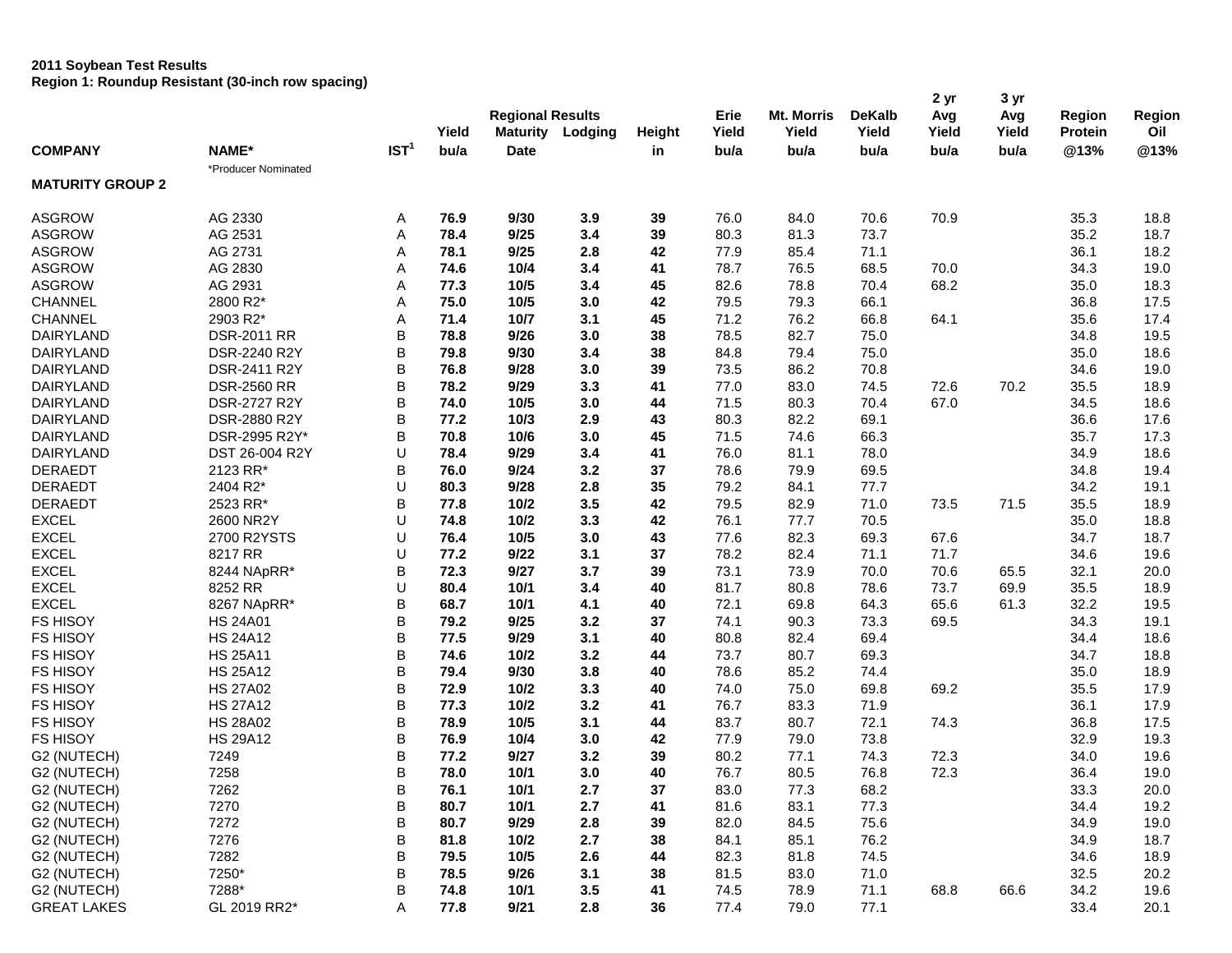## **2011 Soybean Test Results**

**Region 1: Roundup Resistant (30-inch row spacing)**

|                         |                     |                  |       |                         |         |        |       |                   |               | 2 yr  | 3 <sub>yr</sub> |                |        |
|-------------------------|---------------------|------------------|-------|-------------------------|---------|--------|-------|-------------------|---------------|-------|-----------------|----------------|--------|
| <b>COMPANY</b>          |                     |                  |       | <b>Regional Results</b> |         |        | Erie  | <b>Mt. Morris</b> | <b>DeKalb</b> | Avg   | Avg             | Region         | Region |
|                         |                     |                  | Yield | <b>Maturity</b>         | Lodging | Height | Yield | Yield             | Yield         | Yield | Yield           | <b>Protein</b> | Oil    |
|                         | NAME*               | IST <sup>1</sup> | bu/a  | <b>Date</b>             |         | in     | bu/a  | bu/a              | bu/a          | bu/a  | bu/a            | @13%           | @13%   |
|                         | *Producer Nominated |                  |       |                         |         |        |       |                   |               |       |                 |                |        |
| <b>MATURITY GROUP 2</b> |                     |                  |       |                         |         |        |       |                   |               |       |                 |                |        |
| <b>ASGROW</b>           | AG 2330             | Α                | 76.9  | 9/30                    | 3.9     | 39     | 76.0  | 84.0              | 70.6          | 70.9  |                 | 35.3           | 18.8   |
| <b>ASGROW</b>           | AG 2531             | Α                | 78.4  | 9/25                    | 3.4     | 39     | 80.3  | 81.3              | 73.7          |       |                 | 35.2           | 18.7   |
| <b>ASGROW</b>           | AG 2731             | A                | 78.1  | 9/25                    | 2.8     | 42     | 77.9  | 85.4              | 71.1          |       |                 | 36.1           | 18.2   |
| <b>ASGROW</b>           | AG 2830             | Α                | 74.6  | 10/4                    | 3.4     | 41     | 78.7  | 76.5              | 68.5          | 70.0  |                 | 34.3           | 19.0   |
| <b>ASGROW</b>           | AG 2931             | A                | 77.3  | 10/5                    | 3.4     | 45     | 82.6  | 78.8              | 70.4          | 68.2  |                 | 35.0           | 18.3   |
| CHANNEL                 | 2800 R2*            | Α                | 75.0  | 10/5                    | 3.0     | 42     | 79.5  | 79.3              | 66.1          |       |                 | 36.8           | 17.5   |
| CHANNEL                 | 2903 R2*            | A                | 71.4  | 10/7                    | 3.1     | 45     | 71.2  | 76.2              | 66.8          | 64.1  |                 | 35.6           | 17.4   |
| DAIRYLAND               | <b>DSR-2011 RR</b>  | B                | 78.8  | 9/26                    | 3.0     | 38     | 78.5  | 82.7              | 75.0          |       |                 | 34.8           | 19.5   |
| DAIRYLAND               | DSR-2240 R2Y        | B                | 79.8  | 9/30                    | 3.4     | 38     | 84.8  | 79.4              | 75.0          |       |                 | 35.0           | 18.6   |
| DAIRYLAND               | DSR-2411 R2Y        | B                | 76.8  | 9/28                    | 3.0     | 39     | 73.5  | 86.2              | 70.8          |       |                 | 34.6           | 19.0   |
| DAIRYLAND               | <b>DSR-2560 RR</b>  | B                | 78.2  | 9/29                    | 3.3     | 41     | 77.0  | 83.0              | 74.5          | 72.6  | 70.2            | 35.5           | 18.9   |
| DAIRYLAND               | DSR-2727 R2Y        | B                | 74.0  | 10/5                    | 3.0     | 44     | 71.5  | 80.3              | 70.4          | 67.0  |                 | 34.5           | 18.6   |
| DAIRYLAND               | DSR-2880 R2Y        | B                | 77.2  | 10/3                    | 2.9     | 43     | 80.3  | 82.2              | 69.1          |       |                 | 36.6           | 17.6   |
| DAIRYLAND               | DSR-2995 R2Y*       | B                | 70.8  | 10/6                    | 3.0     | 45     | 71.5  | 74.6              | 66.3          |       |                 | 35.7           | 17.3   |
| DAIRYLAND               | DST 26-004 R2Y      | U                | 78.4  | 9/29                    | 3.4     | 41     | 76.0  | 81.1              | 78.0          |       |                 | 34.9           | 18.6   |
| <b>DERAEDT</b>          | 2123 RR*            | B                | 76.0  | 9/24                    | 3.2     | 37     | 78.6  | 79.9              | 69.5          |       |                 | 34.8           | 19.4   |
| <b>DERAEDT</b>          | 2404 R2*            | U                | 80.3  | 9/28                    | 2.8     | 35     | 79.2  | 84.1              | 77.7          |       |                 | 34.2           | 19.1   |
| <b>DERAEDT</b>          | 2523 RR*            | B                | 77.8  | 10/2                    | 3.5     | 42     | 79.5  | 82.9              | 71.0          | 73.5  | 71.5            | 35.5           | 18.9   |
| <b>EXCEL</b>            | 2600 NR2Y           | U                | 74.8  | 10/2                    | 3.3     | 42     | 76.1  | 77.7              | 70.5          |       |                 | 35.0           | 18.8   |
| <b>EXCEL</b>            | 2700 R2YSTS         | U                | 76.4  | 10/5                    | 3.0     | 43     | 77.6  | 82.3              | 69.3          | 67.6  |                 | 34.7           | 18.7   |
| <b>EXCEL</b>            | 8217 RR             | U                | 77.2  | 9/22                    | 3.1     | 37     | 78.2  | 82.4              | 71.1          | 71.7  |                 | 34.6           | 19.6   |
| <b>EXCEL</b>            | 8244 NApRR*         | B                | 72.3  | 9/27                    | 3.7     | 39     | 73.1  | 73.9              | 70.0          | 70.6  | 65.5            | 32.1           | 20.0   |
| <b>EXCEL</b>            | 8252 RR             | U                | 80.4  | 10/1                    | 3.4     | 40     | 81.7  | 80.8              | 78.6          | 73.7  | 69.9            | 35.5           | 18.9   |
| <b>EXCEL</b>            | 8267 NApRR*         | B                | 68.7  | 10/1                    | 4.1     | 40     | 72.1  | 69.8              | 64.3          | 65.6  | 61.3            | 32.2           | 19.5   |
| <b>FS HISOY</b>         | <b>HS 24A01</b>     | B                | 79.2  | 9/25                    | 3.2     | 37     | 74.1  | 90.3              | 73.3          | 69.5  |                 | 34.3           | 19.1   |
| <b>FS HISOY</b>         | <b>HS 24A12</b>     | B                | 77.5  | 9/29                    | 3.1     | 40     | 80.8  | 82.4              | 69.4          |       |                 | 34.4           | 18.6   |
| <b>FS HISOY</b>         | <b>HS 25A11</b>     | B                | 74.6  | 10/2                    | 3.2     | 44     | 73.7  | 80.7              | 69.3          |       |                 | 34.7           | 18.8   |
| <b>FS HISOY</b>         | <b>HS 25A12</b>     | $\mathsf B$      | 79.4  | 9/30                    | 3.8     | 40     | 78.6  | 85.2              | 74.4          |       |                 | 35.0           | 18.9   |
| <b>FS HISOY</b>         | <b>HS 27A02</b>     | B                | 72.9  | 10/2                    | 3.3     | 40     | 74.0  | 75.0              | 69.8          | 69.2  |                 | 35.5           | 17.9   |
| <b>FS HISOY</b>         | <b>HS 27A12</b>     | B                | 77.3  | 10/2                    | 3.2     | 41     | 76.7  | 83.3              | 71.9          |       |                 | 36.1           | 17.9   |
| <b>FS HISOY</b>         | <b>HS 28A02</b>     | B                | 78.9  | 10/5                    | 3.1     | 44     | 83.7  | 80.7              | 72.1          | 74.3  |                 | 36.8           | 17.5   |
| <b>FS HISOY</b>         | <b>HS 29A12</b>     | B                | 76.9  | 10/4                    | 3.0     | 42     | 77.9  | 79.0              | 73.8          |       |                 | 32.9           | 19.3   |
| G2 (NUTECH)             | 7249                | B                | 77.2  | 9/27                    | 3.2     | 39     | 80.2  | 77.1              | 74.3          | 72.3  |                 | 34.0           | 19.6   |
| G2 (NUTECH)             | 7258                | B                | 78.0  | 10/1                    | 3.0     | 40     | 76.7  | 80.5              | 76.8          | 72.3  |                 | 36.4           | 19.0   |
| G2 (NUTECH)             | 7262                | B                | 76.1  | 10/1                    | 2.7     | 37     | 83.0  | 77.3              | 68.2          |       |                 | 33.3           | 20.0   |
| G2 (NUTECH)             | 7270                | B                | 80.7  | 10/1                    | 2.7     | 41     | 81.6  | 83.1              | 77.3          |       |                 | 34.4           | 19.2   |
| G2 (NUTECH)             | 7272                | B                | 80.7  | 9/29                    | $2.8\,$ | 39     | 82.0  | 84.5              | 75.6          |       |                 | 34.9           | 19.0   |
| G2 (NUTECH)             | 7276                | B                | 81.8  | 10/2                    | 2.7     | 38     | 84.1  | 85.1              | 76.2          |       |                 | 34.9           | 18.7   |
| G2 (NUTECH)             | 7282                | B                | 79.5  | 10/5                    | 2.6     | 44     | 82.3  | 81.8              | 74.5          |       |                 | 34.6           | 18.9   |
| G2 (NUTECH)             | 7250*               | B                | 78.5  | 9/26                    | 3.1     | 38     | 81.5  | 83.0              | 71.0          |       |                 | 32.5           | 20.2   |
| G2 (NUTECH)             | 7288*               | B                | 74.8  | 10/1                    | 3.5     | 41     | 74.5  | 78.9              | 71.1          | 68.8  | 66.6            | 34.2           | 19.6   |
| <b>GREAT LAKES</b>      | GL 2019 RR2*        | A                | 77.8  | 9/21                    | 2.8     | 36     | 77.4  | 79.0              | 77.1          |       |                 | 33.4           | 20.1   |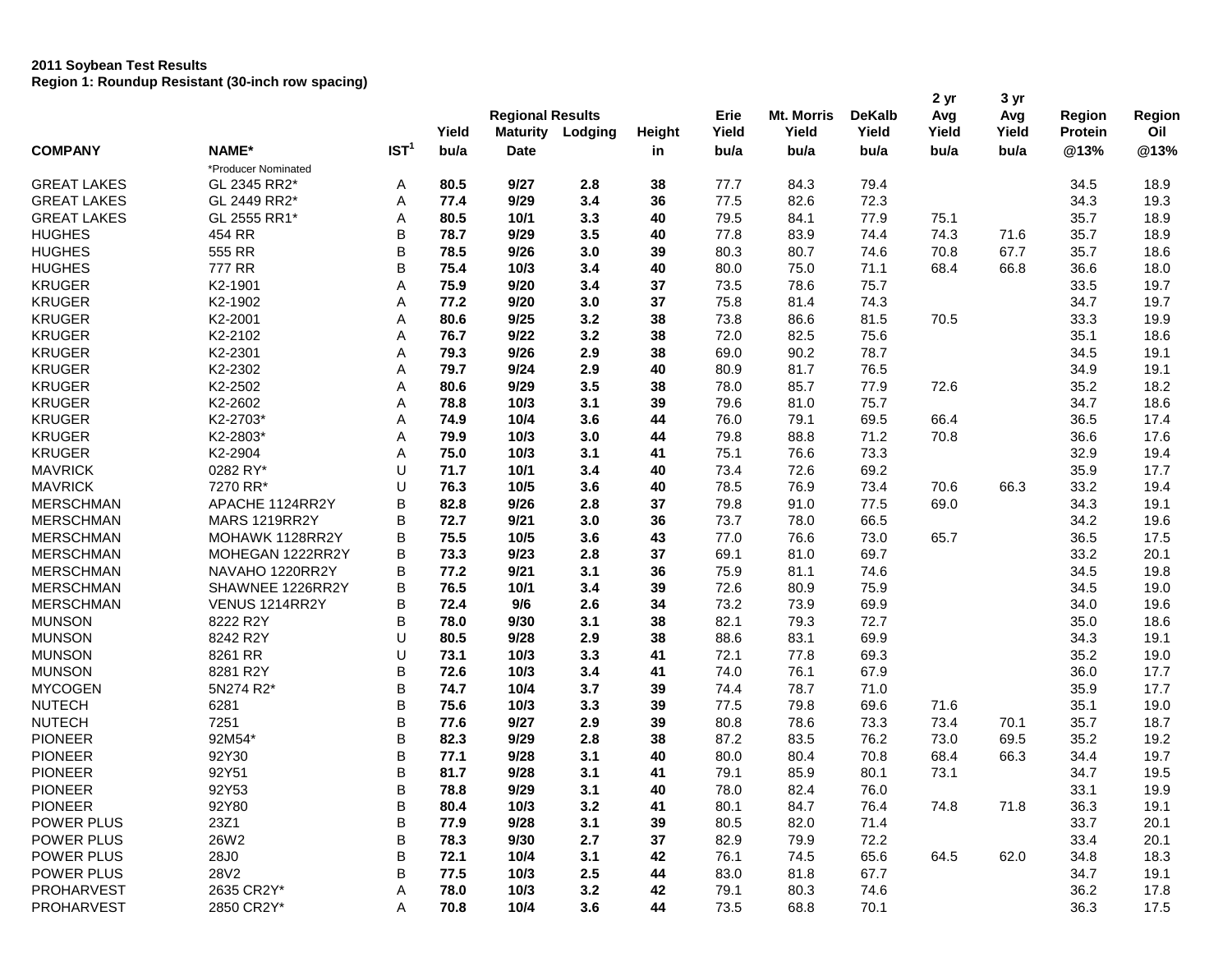## **2011 Soybean Test Results Region 1: Roundup Resistant (30-inch row spacing)**

|                    |                      |                  |       |                         |         |        |       |                   |               | 2 yr  | 3 yr  |         |        |
|--------------------|----------------------|------------------|-------|-------------------------|---------|--------|-------|-------------------|---------------|-------|-------|---------|--------|
|                    |                      |                  |       | <b>Regional Results</b> |         |        | Erie  | <b>Mt. Morris</b> | <b>DeKalb</b> | Avg   | Avg   | Region  | Region |
|                    |                      |                  | Yield | <b>Maturity</b>         | Lodging | Height | Yield | Yield             | Yield         | Yield | Yield | Protein | Oil    |
| <b>COMPANY</b>     | NAME*                | IST <sup>1</sup> | bu/a  | <b>Date</b>             |         | in     | bu/a  | bu/a              | bu/a          | bu/a  | bu/a  | @13%    | @13%   |
|                    | *Producer Nominated  |                  |       |                         |         |        |       |                   |               |       |       |         |        |
| <b>GREAT LAKES</b> | GL 2345 RR2*         | A                | 80.5  | 9/27                    | 2.8     | 38     | 77.7  | 84.3              | 79.4          |       |       | 34.5    | 18.9   |
| <b>GREAT LAKES</b> | GL 2449 RR2*         | Α                | 77.4  | 9/29                    | 3.4     | 36     | 77.5  | 82.6              | 72.3          |       |       | 34.3    | 19.3   |
| <b>GREAT LAKES</b> | GL 2555 RR1*         | Α                | 80.5  | 10/1                    | 3.3     | 40     | 79.5  | 84.1              | 77.9          | 75.1  |       | 35.7    | 18.9   |
| <b>HUGHES</b>      | 454 RR               | B                | 78.7  | 9/29                    | 3.5     | 40     | 77.8  | 83.9              | 74.4          | 74.3  | 71.6  | 35.7    | 18.9   |
| <b>HUGHES</b>      | 555 RR               | B                | 78.5  | 9/26                    | 3.0     | 39     | 80.3  | 80.7              | 74.6          | 70.8  | 67.7  | 35.7    | 18.6   |
| <b>HUGHES</b>      | 777 RR               | B                | 75.4  | 10/3                    | 3.4     | 40     | 80.0  | 75.0              | 71.1          | 68.4  | 66.8  | 36.6    | 18.0   |
| <b>KRUGER</b>      | K2-1901              | Α                | 75.9  | 9/20                    | 3.4     | 37     | 73.5  | 78.6              | 75.7          |       |       | 33.5    | 19.7   |
| <b>KRUGER</b>      | K2-1902              | Α                | 77.2  | 9/20                    | 3.0     | 37     | 75.8  | 81.4              | 74.3          |       |       | 34.7    | 19.7   |
| <b>KRUGER</b>      | K2-2001              | Α                | 80.6  | 9/25                    | 3.2     | 38     | 73.8  | 86.6              | 81.5          | 70.5  |       | 33.3    | 19.9   |
| <b>KRUGER</b>      | K2-2102              | Α                | 76.7  | 9/22                    | 3.2     | 38     | 72.0  | 82.5              | 75.6          |       |       | 35.1    | 18.6   |
| <b>KRUGER</b>      | K2-2301              | Α                | 79.3  | 9/26                    | 2.9     | 38     | 69.0  | 90.2              | 78.7          |       |       | 34.5    | 19.1   |
| <b>KRUGER</b>      | K2-2302              | Α                | 79.7  | 9/24                    | 2.9     | 40     | 80.9  | 81.7              | 76.5          |       |       | 34.9    | 19.1   |
| <b>KRUGER</b>      | K2-2502              | Α                | 80.6  | 9/29                    | 3.5     | 38     | 78.0  | 85.7              | 77.9          | 72.6  |       | 35.2    | 18.2   |
| <b>KRUGER</b>      | K2-2602              | Α                | 78.8  | 10/3                    | 3.1     | 39     | 79.6  | 81.0              | 75.7          |       |       | 34.7    | 18.6   |
| <b>KRUGER</b>      | K2-2703*             | Α                | 74.9  | 10/4                    | 3.6     | 44     | 76.0  | 79.1              | 69.5          | 66.4  |       | 36.5    | 17.4   |
| <b>KRUGER</b>      | K2-2803*             | Α                | 79.9  | 10/3                    | 3.0     | 44     | 79.8  | 88.8              | 71.2          | 70.8  |       | 36.6    | 17.6   |
| <b>KRUGER</b>      | K2-2904              | Α                | 75.0  | 10/3                    | 3.1     | 41     | 75.1  | 76.6              | 73.3          |       |       | 32.9    | 19.4   |
| <b>MAVRICK</b>     | 0282 RY*             | U                | 71.7  | 10/1                    | 3.4     | 40     | 73.4  | 72.6              | 69.2          |       |       | 35.9    | 17.7   |
| <b>MAVRICK</b>     | 7270 RR*             | U                | 76.3  | 10/5                    | 3.6     | 40     | 78.5  | 76.9              | 73.4          | 70.6  | 66.3  | 33.2    | 19.4   |
| <b>MERSCHMAN</b>   | APACHE 1124RR2Y      | B                | 82.8  | 9/26                    | 2.8     | 37     | 79.8  | 91.0              | 77.5          | 69.0  |       | 34.3    | 19.1   |
| <b>MERSCHMAN</b>   | <b>MARS 1219RR2Y</b> | B                | 72.7  | 9/21                    | 3.0     | 36     | 73.7  | 78.0              | 66.5          |       |       | 34.2    | 19.6   |
| <b>MERSCHMAN</b>   | MOHAWK 1128RR2Y      | B                | 75.5  | 10/5                    | 3.6     | 43     | 77.0  | 76.6              | 73.0          | 65.7  |       | 36.5    | 17.5   |
| <b>MERSCHMAN</b>   | MOHEGAN 1222RR2Y     | B                | 73.3  | 9/23                    | 2.8     | 37     | 69.1  | 81.0              | 69.7          |       |       | 33.2    | 20.1   |
| <b>MERSCHMAN</b>   | NAVAHO 1220RR2Y      | В                | 77.2  | 9/21                    | 3.1     | 36     | 75.9  | 81.1              | 74.6          |       |       | 34.5    | 19.8   |
| <b>MERSCHMAN</b>   | SHAWNEE 1226RR2Y     | B                | 76.5  | 10/1                    | 3.4     | 39     | 72.6  | 80.9              | 75.9          |       |       | 34.5    | 19.0   |
| <b>MERSCHMAN</b>   | VENUS 1214RR2Y       | B                | 72.4  | 9/6                     | 2.6     | 34     | 73.2  | 73.9              | 69.9          |       |       | 34.0    | 19.6   |
| <b>MUNSON</b>      | 8222 R2Y             | B                | 78.0  | 9/30                    | 3.1     | 38     | 82.1  | 79.3              | 72.7          |       |       | 35.0    | 18.6   |
| <b>MUNSON</b>      | 8242 R2Y             | U                | 80.5  | 9/28                    | 2.9     | 38     | 88.6  | 83.1              | 69.9          |       |       | 34.3    | 19.1   |
| <b>MUNSON</b>      |                      | U                |       |                         |         |        |       |                   |               |       |       |         |        |
|                    | 8261 RR              |                  | 73.1  | 10/3                    | 3.3     | 41     | 72.1  | 77.8              | 69.3          |       |       | 35.2    | 19.0   |
| <b>MUNSON</b>      | 8281 R2Y             | B                | 72.6  | 10/3                    | 3.4     | 41     | 74.0  | 76.1              | 67.9          |       |       | 36.0    | 17.7   |
| <b>MYCOGEN</b>     | 5N274 R2*            | B                | 74.7  | 10/4                    | 3.7     | 39     | 74.4  | 78.7              | 71.0          |       |       | 35.9    | 17.7   |
| <b>NUTECH</b>      | 6281                 | B                | 75.6  | 10/3                    | 3.3     | 39     | 77.5  | 79.8              | 69.6          | 71.6  |       | 35.1    | 19.0   |
| <b>NUTECH</b>      | 7251                 | B                | 77.6  | 9/27                    | 2.9     | 39     | 80.8  | 78.6              | 73.3          | 73.4  | 70.1  | 35.7    | 18.7   |
| <b>PIONEER</b>     | 92M54*               | B                | 82.3  | 9/29                    | 2.8     | 38     | 87.2  | 83.5              | 76.2          | 73.0  | 69.5  | 35.2    | 19.2   |
| <b>PIONEER</b>     | 92Y30                | B                | 77.1  | 9/28                    | 3.1     | 40     | 80.0  | 80.4              | 70.8          | 68.4  | 66.3  | 34.4    | 19.7   |
| <b>PIONEER</b>     | 92Y51                | B                | 81.7  | 9/28                    | 3.1     | 41     | 79.1  | 85.9              | 80.1          | 73.1  |       | 34.7    | 19.5   |
| <b>PIONEER</b>     | 92Y53                | B                | 78.8  | 9/29                    | 3.1     | 40     | 78.0  | 82.4              | 76.0          |       |       | 33.1    | 19.9   |
| <b>PIONEER</b>     | 92Y80                | B                | 80.4  | 10/3                    | 3.2     | 41     | 80.1  | 84.7              | 76.4          | 74.8  | 71.8  | 36.3    | 19.1   |
| POWER PLUS         | 23Z1                 | B                | 77.9  | 9/28                    | 3.1     | 39     | 80.5  | 82.0              | 71.4          |       |       | 33.7    | 20.1   |
| POWER PLUS         | 26W2                 | B                | 78.3  | 9/30                    | 2.7     | 37     | 82.9  | 79.9              | 72.2          |       |       | 33.4    | 20.1   |
| POWER PLUS         | 28J0                 | B                | 72.1  | 10/4                    | 3.1     | 42     | 76.1  | 74.5              | 65.6          | 64.5  | 62.0  | 34.8    | 18.3   |
| POWER PLUS         | 28V2                 | B                | 77.5  | 10/3                    | 2.5     | 44     | 83.0  | 81.8              | 67.7          |       |       | 34.7    | 19.1   |
| PROHARVEST         | 2635 CR2Y*           | Α                | 78.0  | 10/3                    | 3.2     | 42     | 79.1  | 80.3              | 74.6          |       |       | 36.2    | 17.8   |
| PROHARVEST         | 2850 CR2Y*           | Α                | 70.8  | 10/4                    | 3.6     | 44     | 73.5  | 68.8              | 70.1          |       |       | 36.3    | 17.5   |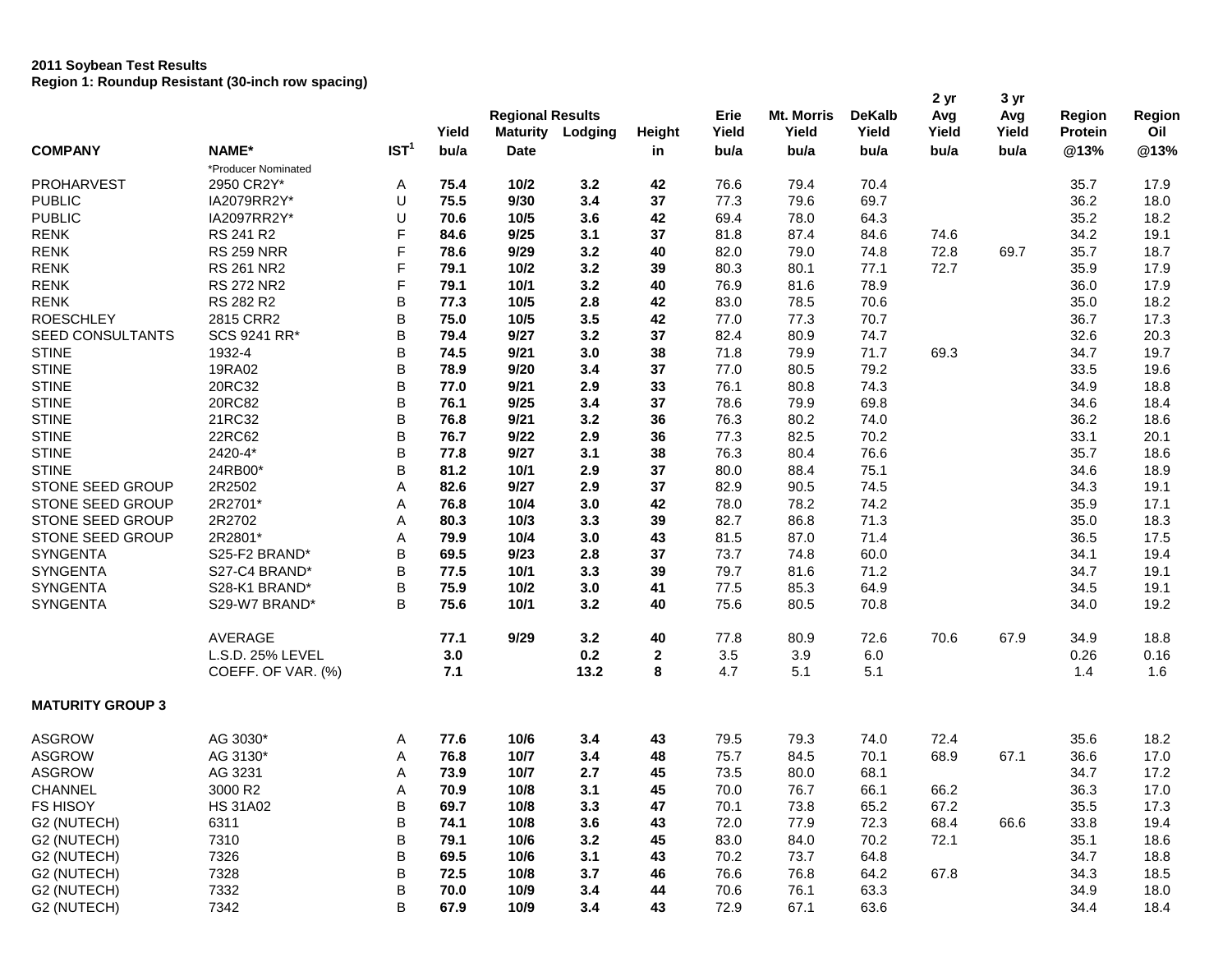## **2011 Soybean Test Results Region 1: Roundup Resistant (30-inch row spacing)**

|                         |                     |                  |       | <b>Regional Results</b> |         |               | Erie  | <b>Mt. Morris</b> | <b>DeKalb</b> | 2 yr<br>Avg | 3 yr<br>Avg | Region         | Region |
|-------------------------|---------------------|------------------|-------|-------------------------|---------|---------------|-------|-------------------|---------------|-------------|-------------|----------------|--------|
|                         |                     |                  | Yield | <b>Maturity</b>         | Lodging | <b>Height</b> | Yield | Yield             | Yield         | Yield       | Yield       | <b>Protein</b> | Oil    |
| <b>COMPANY</b>          | NAME*               | IST <sup>1</sup> | bu/a  | <b>Date</b>             |         | in            | bu/a  | bu/a              | bu/a          | bu/a        | bu/a        | @13%           | @13%   |
|                         | *Producer Nominated |                  |       |                         |         |               |       |                   |               |             |             |                |        |
| <b>PROHARVEST</b>       | 2950 CR2Y*          | Α                | 75.4  | 10/2                    | 3.2     | 42            | 76.6  | 79.4              | 70.4          |             |             | 35.7           | 17.9   |
| <b>PUBLIC</b>           | IA2079RR2Y*         | U                | 75.5  | 9/30                    | 3.4     | 37            | 77.3  | 79.6              | 69.7          |             |             | 36.2           | 18.0   |
| <b>PUBLIC</b>           | IA2097RR2Y*         | U                | 70.6  | 10/5                    | 3.6     | 42            | 69.4  | 78.0              | 64.3          |             |             | 35.2           | 18.2   |
| <b>RENK</b>             | RS 241 R2           | F                | 84.6  | 9/25                    | 3.1     | 37            | 81.8  | 87.4              | 84.6          | 74.6        |             | 34.2           | 19.1   |
| <b>RENK</b>             | <b>RS 259 NRR</b>   | F                | 78.6  | 9/29                    | 3.2     | 40            | 82.0  | 79.0              | 74.8          | 72.8        | 69.7        | 35.7           | 18.7   |
| <b>RENK</b>             | <b>RS 261 NR2</b>   | F                | 79.1  | 10/2                    | 3.2     | 39            | 80.3  | 80.1              | 77.1          | 72.7        |             | 35.9           | 17.9   |
| <b>RENK</b>             | <b>RS 272 NR2</b>   | F                | 79.1  | 10/1                    | 3.2     | 40            | 76.9  | 81.6              | 78.9          |             |             | 36.0           | 17.9   |
| <b>RENK</b>             | RS 282 R2           | B                | 77.3  | 10/5                    | 2.8     | 42            | 83.0  | 78.5              | 70.6          |             |             | 35.0           | 18.2   |
| <b>ROESCHLEY</b>        | 2815 CRR2           | B                | 75.0  | 10/5                    | 3.5     | 42            | 77.0  | 77.3              | 70.7          |             |             | 36.7           | 17.3   |
| <b>SEED CONSULTANTS</b> | SCS 9241 RR*        | B                | 79.4  | 9/27                    | 3.2     | 37            | 82.4  | 80.9              | 74.7          |             |             | 32.6           | 20.3   |
| <b>STINE</b>            | 1932-4              | B                | 74.5  | 9/21                    | 3.0     | 38            | 71.8  | 79.9              | 71.7          | 69.3        |             | 34.7           | 19.7   |
| <b>STINE</b>            | 19RA02              | B                | 78.9  | 9/20                    | 3.4     | 37            | 77.0  | 80.5              | 79.2          |             |             | 33.5           | 19.6   |
| <b>STINE</b>            | 20RC32              | B                | 77.0  | 9/21                    | 2.9     | 33            | 76.1  | 80.8              | 74.3          |             |             | 34.9           | 18.8   |
| <b>STINE</b>            | 20RC82              | B                | 76.1  | 9/25                    | 3.4     | 37            | 78.6  | 79.9              | 69.8          |             |             | 34.6           | 18.4   |
| <b>STINE</b>            | 21RC32              | B                | 76.8  | 9/21                    | 3.2     | 36            | 76.3  | 80.2              | 74.0          |             |             | 36.2           | 18.6   |
| <b>STINE</b>            | 22RC62              | B                | 76.7  | 9/22                    | 2.9     | 36            | 77.3  | 82.5              | 70.2          |             |             | 33.1           | 20.1   |
| <b>STINE</b>            | 2420-4*             | B                | 77.8  | 9/27                    | 3.1     | 38            | 76.3  | 80.4              | 76.6          |             |             | 35.7           | 18.6   |
| <b>STINE</b>            | 24RB00*             | B                | 81.2  | 10/1                    | 2.9     | 37            | 80.0  | 88.4              | 75.1          |             |             | 34.6           | 18.9   |
| STONE SEED GROUP        | 2R2502              | A                | 82.6  | 9/27                    | 2.9     | 37            | 82.9  | 90.5              | 74.5          |             |             | 34.3           | 19.1   |
| STONE SEED GROUP        | 2R2701*             | Α                | 76.8  | 10/4                    | 3.0     | 42            | 78.0  | 78.2              | 74.2          |             |             | 35.9           | 17.1   |
| STONE SEED GROUP        | 2R2702              | A                | 80.3  | 10/3                    | 3.3     | 39            | 82.7  | 86.8              | 71.3          |             |             | 35.0           | 18.3   |
| STONE SEED GROUP        | 2R2801*             | Α                | 79.9  | 10/4                    | 3.0     | 43            | 81.5  | 87.0              | 71.4          |             |             | 36.5           | 17.5   |
| <b>SYNGENTA</b>         | S25-F2 BRAND*       | B                | 69.5  | 9/23                    | 2.8     | 37            | 73.7  | 74.8              | 60.0          |             |             | 34.1           | 19.4   |
| <b>SYNGENTA</b>         | S27-C4 BRAND*       | B                | 77.5  | 10/1                    | 3.3     | 39            | 79.7  | 81.6              | 71.2          |             |             | 34.7           | 19.1   |
| <b>SYNGENTA</b>         | S28-K1 BRAND*       | B                | 75.9  | 10/2                    | 3.0     | 41            | 77.5  | 85.3              | 64.9          |             |             | 34.5           | 19.1   |
| <b>SYNGENTA</b>         | S29-W7 BRAND*       | B                | 75.6  | 10/1                    | 3.2     | 40            | 75.6  | 80.5              | 70.8          |             |             | 34.0           | 19.2   |
|                         | <b>AVERAGE</b>      |                  | 77.1  | 9/29                    | 3.2     | 40            | 77.8  | 80.9              | 72.6          | 70.6        | 67.9        | 34.9           | 18.8   |
|                         | L.S.D. 25% LEVEL    |                  | 3.0   |                         | 0.2     | $\mathbf{2}$  | 3.5   | 3.9               | 6.0           |             |             | 0.26           | 0.16   |
|                         | COEFF. OF VAR. (%)  |                  | 7.1   |                         | 13.2    | 8             | 4.7   | 5.1               | 5.1           |             |             | 1.4            | 1.6    |
|                         |                     |                  |       |                         |         |               |       |                   |               |             |             |                |        |
| <b>MATURITY GROUP 3</b> |                     |                  |       |                         |         |               |       |                   |               |             |             |                |        |
| <b>ASGROW</b>           | AG 3030*            | Α                | 77.6  | 10/6                    | 3.4     | 43            | 79.5  | 79.3              | 74.0          | 72.4        |             | 35.6           | 18.2   |
| <b>ASGROW</b>           | AG 3130*            | Α                | 76.8  | 10/7                    | 3.4     | 48            | 75.7  | 84.5              | 70.1          | 68.9        | 67.1        | 36.6           | 17.0   |
| <b>ASGROW</b>           | AG 3231             | Α                | 73.9  | 10/7                    | 2.7     | 45            | 73.5  | 80.0              | 68.1          |             |             | 34.7           | 17.2   |
| CHANNEL                 | 3000 R2             | A                | 70.9  | 10/8                    | 3.1     | 45            | 70.0  | 76.7              | 66.1          | 66.2        |             | 36.3           | 17.0   |
| <b>FS HISOY</b>         | <b>HS 31A02</b>     | B                | 69.7  | 10/8                    | 3.3     | 47            | 70.1  | 73.8              | 65.2          | 67.2        |             | 35.5           | 17.3   |
| G2 (NUTECH)             | 6311                | B                | 74.1  | 10/8                    | 3.6     | 43            | 72.0  | 77.9              | 72.3          | 68.4        | 66.6        | 33.8           | 19.4   |
| G2 (NUTECH)             | 7310                | B                | 79.1  | 10/6                    | 3.2     | 45            | 83.0  | 84.0              | 70.2          | 72.1        |             | 35.1           | 18.6   |
| G2 (NUTECH)             | 7326                | B                | 69.5  | 10/6                    | 3.1     | 43            | 70.2  | 73.7              | 64.8          |             |             | 34.7           | 18.8   |
| G2 (NUTECH)             | 7328                | B                | 72.5  | 10/8                    | 3.7     | 46            | 76.6  | 76.8              | 64.2          | 67.8        |             | 34.3           | 18.5   |
| G2 (NUTECH)             | 7332                | B                | 70.0  | 10/9                    | 3.4     | 44            | 70.6  | 76.1              | 63.3          |             |             | 34.9           | 18.0   |
| G2 (NUTECH)             | 7342                | B                | 67.9  | 10/9                    | 3.4     | 43            | 72.9  | 67.1              | 63.6          |             |             | 34.4           | 18.4   |